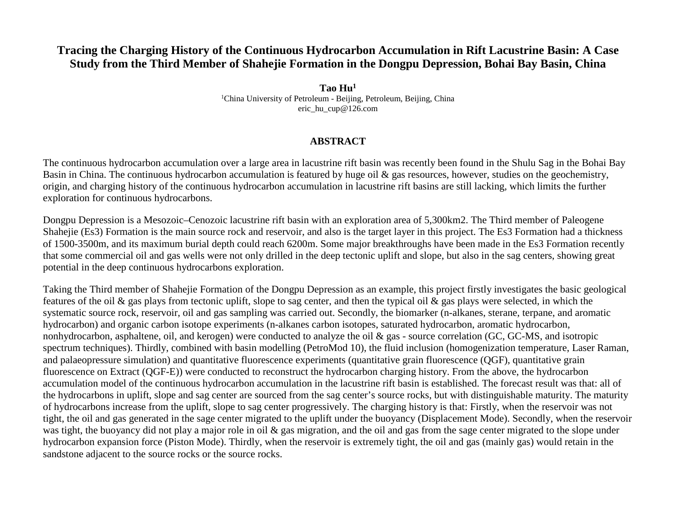## **Tracing the Charging History of the Continuous Hydrocarbon Accumulation in Rift Lacustrine Basin: A Case Study from the Third Member of Shahejie Formation in the Dongpu Depression, Bohai Bay Basin, China**

**Tao Hu1** <sup>1</sup>China University of Petroleum - Beijing, Petroleum, Beijing, China eric\_hu\_cup@126.com

## **ABSTRACT**

The continuous hydrocarbon accumulation over a large area in lacustrine rift basin was recently been found in the Shulu Sag in the Bohai Bay Basin in China. The continuous hydrocarbon accumulation is featured by huge oil & gas resources, however, studies on the geochemistry, origin, and charging history of the continuous hydrocarbon accumulation in lacustrine rift basins are still lacking, which limits the further exploration for continuous hydrocarbons.

Dongpu Depression is a Mesozoic–Cenozoic lacustrine rift basin with an exploration area of 5,300km2. The Third member of Paleogene Shahejie (Es3) Formation is the main source rock and reservoir, and also is the target layer in this project. The Es3 Formation had a thickness of 1500-3500m, and its maximum burial depth could reach 6200m. Some major breakthroughs have been made in the Es3 Formation recently that some commercial oil and gas wells were not only drilled in the deep tectonic uplift and slope, but also in the sag centers, showing great potential in the deep continuous hydrocarbons exploration.

Taking the Third member of Shahejie Formation of the Dongpu Depression as an example, this project firstly investigates the basic geological features of the oil & gas plays from tectonic uplift, slope to sag center, and then the typical oil & gas plays were selected, in which the systematic source rock, reservoir, oil and gas sampling was carried out. Secondly, the biomarker (n-alkanes, sterane, terpane, and aromatic hydrocarbon) and organic carbon isotope experiments (n-alkanes carbon isotopes, saturated hydrocarbon, aromatic hydrocarbon, nonhydrocarbon, asphaltene, oil, and kerogen) were conducted to analyze the oil & gas - source correlation (GC, GC-MS, and isotropic spectrum techniques). Thirdly, combined with basin modelling (PetroMod 10), the fluid inclusion (homogenization temperature, Laser Raman, and palaeopressure simulation) and quantitative fluorescence experiments (quantitative grain fluorescence (QGF), quantitative grain fluorescence on Extract (QGF-E)) were conducted to reconstruct the hydrocarbon charging history. From the above, the hydrocarbon accumulation model of the continuous hydrocarbon accumulation in the lacustrine rift basin is established. The forecast result was that: all of the hydrocarbons in uplift, slope and sag center are sourced from the sag center's source rocks, but with distinguishable maturity. The maturity of hydrocarbons increase from the uplift, slope to sag center progressively. The charging history is that: Firstly, when the reservoir was not tight, the oil and gas generated in the sage center migrated to the uplift under the buoyancy (Displacement Mode). Secondly, when the reservoir was tight, the buoyancy did not play a major role in oil & gas migration, and the oil and gas from the sage center migrated to the slope under hydrocarbon expansion force (Piston Mode). Thirdly, when the reservoir is extremely tight, the oil and gas (mainly gas) would retain in the sandstone adjacent to the source rocks or the source rocks.